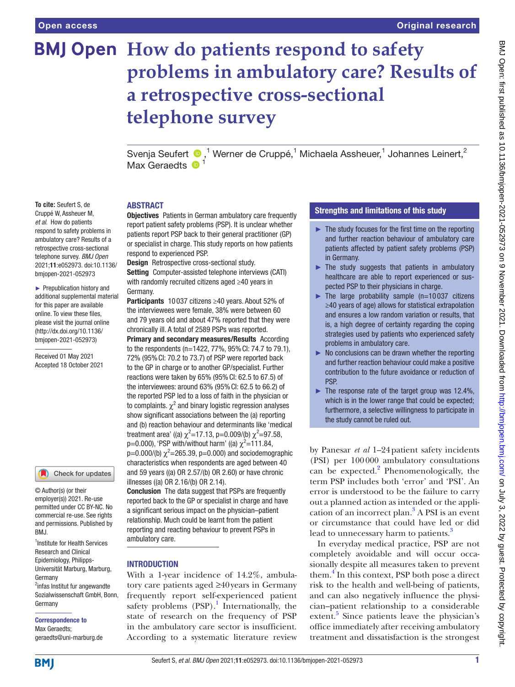**To cite:** Seufert S, de Cruppé W, Assheuer M, *et al*. How do patients respond to safety problems in ambulatory care? Results of a retrospective cross-sectional telephone survey. *BMJ Open* 2021;11:e052973. doi:10.1136/ bmjopen-2021-052973 ► Prepublication history and additional supplemental material for this paper are available online. To view these files, please visit the journal online [\(http://dx.doi.org/10.1136/](http://dx.doi.org/10.1136/bmjopen-2021-052973) [bmjopen-2021-052973](http://dx.doi.org/10.1136/bmjopen-2021-052973)) Received 01 May 2021 Accepted 18 October 2021

# **BMJ Open** How do patients respond to safety **problems in ambulatory care? Results of a retrospective cross-sectional telephone survey**

SvenjaSeufert  $\bigcirc$ ,<sup>1</sup> Werner de Cruppé,<sup>1</sup> Michaela Assheuer,<sup>1</sup> Johannes Leinert,<sup>2</sup> Max Geraedts **D** 

#### ABSTRACT

**Objectives** Patients in German ambulatory care frequently report patient safety problems (PSP). It is unclear whether patients report PSP back to their general practitioner (GP) or specialist in charge. This study reports on how patients respond to experienced PSP.

Design Retrospective cross-sectional study.

Setting Computer-assisted telephone interviews (CATI) with randomly recruited citizens aged ≥40 years in Germany.

Participants 10 037 citizens ≥40 years. About 52% of the interviewees were female, 38% were between 60 and 79 years old and about 47% reported that they were chronically ill. A total of 2589 PSPs was reported.

Primary and secondary measures/Results According to the respondents (n=1422, 77%, 95%CI: 74.7 to 79.1), 72% (95%CI: 70.2 to 73.7) of PSP were reported back to the GP in charge or to another GP/specialist. Further reactions were taken by 65% (95%CI: 62.5 to 67.5) of the interviewees: around 63% (95%CI: 62.5 to 66.2) of the reported PSP led to a loss of faith in the physician or to complaints.  $\chi^2$  and binary logistic regression analyses show significant associations between the (a) reporting and (b) reaction behaviour and determinants like 'medical treatment area' ((a)  $\chi^2$ =17.13, p=0.009/(b)  $\chi^2$ =97.58, p=0.000), 'PSP with/without harm' ((a)  $\chi^2$ =111.84,  $p=0.000/(b)$   $\chi^2$ =265.39, p=0.000) and sociodemographic characteristics when respondents are aged between 40 and 59 years ((a) OR 2.57/(b) OR 2.60) or have chronic illnesses ((a) OR 2.16/(b) OR 2.14).

Conclusion The data suggest that PSPs are frequently reported back to the GP or specialist in charge and have a significant serious impact on the physician–patient relationship. Much could be learnt from the patient reporting and reacting behaviour to prevent PSPs in ambulatory care.

#### **INTRODUCTION**

With a 1-year incidence of 14.2%, ambulatory care patients aged ≥40years in Germany frequently report self-experienced patient safety problems  $(PSP).<sup>1</sup>$  $(PSP).<sup>1</sup>$  $(PSP).<sup>1</sup>$  Internationally, the state of research on the frequency of PSP in the ambulatory care sector is insufficient. According to a systematic literature review

## Strengths and limitations of this study

- ► The study focuses for the first time on the reporting and further reaction behaviour of ambulatory care patients affected by patient safety problems (PSP) in Germany.
- ► The study suggests that patients in ambulatory healthcare are able to report experienced or suspected PSP to their physicians in charge.
- $\blacktriangleright$  The large probability sample (n=10037 citizens ≥40 years of age) allows for statistical extrapolation and ensures a low random variation or results, that is, a high degree of certainty regarding the coping strategies used by patients who experienced safety problems in ambulatory care.
- $\triangleright$  No conclusions can be drawn whether the reporting and further reaction behaviour could make a positive contribution to the future avoidance or reduction of **PSP**
- $\blacktriangleright$  The response rate of the target group was 12.4%, which is in the lower range that could be expected; furthermore, a selective willingness to participate in the study cannot be ruled out.

by Panesar *et al* 1–24patient safety incidents (PSI) per 100000 ambulatory consultations can be expected.<sup>2</sup> Phenomenologically, the term PSP includes both 'error' and 'PSI'. An error is understood to be the failure to carry out a planned action as intended or the appli-cation of an incorrect plan.<sup>[3](#page-9-2)</sup> A PSI is an event or circumstance that could have led or did lead to unnecessary harm to patients.<sup>[3](#page-9-2)</sup>

In everyday medical practice, PSP are not completely avoidable and will occur occasionally despite all measures taken to prevent them.<sup>[4](#page-9-3)</sup> In this context, PSP both pose a direct risk to the health and well-being of patients, and can also negatively influence the physician–patient relationship to a considerable extent.<sup>[5](#page-9-4)</sup> Since patients leave the physician's office immediately after receiving ambulatory treatment and dissatisfaction is the strongest

geraedts@uni-marburg.de **BMI** 

Germany

BMJ.

Germany

Correspondence to Max Geraedts;

1 Institute for Health Services Research and Clinical Epidemiology, Philipps-Universität Marburg, Marburg,

Check for updates

© Author(s) (or their employer(s)) 2021. Re-use permitted under CC BY-NC. No commercial re-use. See rights and permissions. Published by

<sup>2</sup>infas Institut fur angewandte Sozialwissenschaft GmbH, Bonn,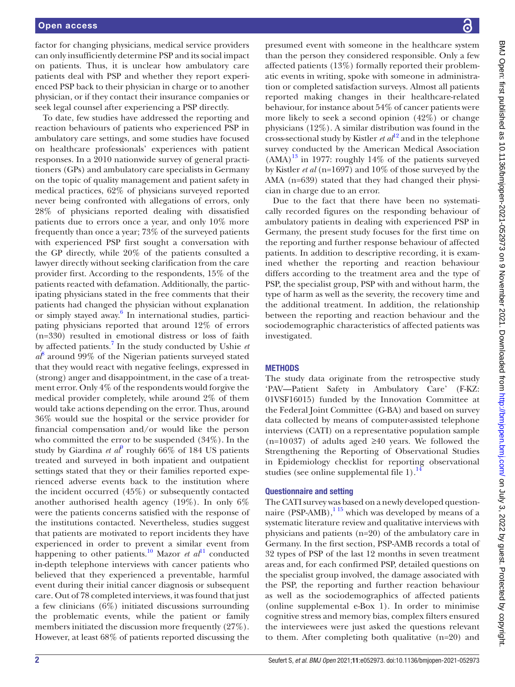factor for changing physicians, medical service providers can only insufficiently determine PSP and its social impact on patients. Thus, it is unclear how ambulatory care patients deal with PSP and whether they report experienced PSP back to their physician in charge or to another physician, or if they contact their insurance companies or seek legal counsel after experiencing a PSP directly.

To date, few studies have addressed the reporting and reaction behaviours of patients who experienced PSP in ambulatory care settings, and some studies have focused on healthcare professionals' experiences with patient responses. In a 2010 nationwide survey of general practitioners (GPs) and ambulatory care specialists in Germany on the topic of quality management and patient safety in medical practices, 62% of physicians surveyed reported never being confronted with allegations of errors, only 28% of physicians reported dealing with dissatisfied patients due to errors once a year, and only 10% more frequently than once a year; 73% of the surveyed patients with experienced PSP first sought a conversation with the GP directly, while 20% of the patients consulted a lawyer directly without seeking clarification from the care provider first. According to the respondents, 15% of the patients reacted with defamation. Additionally, the participating physicians stated in the free comments that their patients had changed the physician without explanation or simply stayed away.<sup>[6](#page-9-5)</sup> In international studies, participating physicians reported that around 12% of errors (n=330) resulted in emotional distress or loss of faith by affected patients.[7](#page-9-6) In the study conducted by Ushie *et*   $a^{\beta}$  around 99% of the Nigerian patients surveyed stated that they would react with negative feelings, expressed in (strong) anger and disappointment, in the case of a treatment error. Only 4% of the respondents would forgive the medical provider completely, while around 2% of them would take actions depending on the error. Thus, around 36% would sue the hospital or the service provider for financial compensation and/or would like the person who committed the error to be suspended (34%). In the study by Giardina *et al*<sup> $\theta$ </sup> roughly 66% of 184 US patients treated and surveyed in both inpatient and outpatient settings stated that they or their families reported experienced adverse events back to the institution where the incident occurred (45%) or subsequently contacted another authorised health agency (19%). In only 6% were the patients concerns satisfied with the response of the institutions contacted. Nevertheless, studies suggest that patients are motivated to report incidents they have experienced in order to prevent a similar event from happening to other patients.<sup>10</sup> Mazor *et al*<sup>11</sup> conducted in-depth telephone interviews with cancer patients who believed that they experienced a preventable, harmful event during their initial cancer diagnosis or subsequent care. Out of 78 completed interviews, it was found that just a few clinicians (6%) initiated discussions surrounding the problematic events, while the patient or family members initiated the discussion more frequently (27%). However, at least 68% of patients reported discussing the

presumed event with someone in the healthcare system than the person they considered responsible. Only a few affected patients (13%) formally reported their problematic events in writing, spoke with someone in administration or completed satisfaction surveys. Almost all patients reported making changes in their healthcare-related behaviour, for instance about 54% of cancer patients were more likely to seek a second opinion (42%) or change physicians (12%). A similar distribution was found in the cross-sectional study by Kistler *et al*<sup>12</sup> and in the telephone survey conducted by the American Medical Association  $(AMA)^{13}$  in 1977: roughly 14% of the patients surveyed by Kistler *et al* (n=1697) and 10% of those surveyed by the AMA (n=639) stated that they had changed their physician in charge due to an error.

Due to the fact that there have been no systematically recorded figures on the responding behaviour of ambulatory patients in dealing with experienced PSP in Germany, the present study focuses for the first time on the reporting and further response behaviour of affected patients. In addition to descriptive recording, it is examined whether the reporting and reaction behaviour differs according to the treatment area and the type of PSP, the specialist group, PSP with and without harm, the type of harm as well as the severity, the recovery time and the additional treatment. In addition, the relationship between the reporting and reaction behaviour and the sociodemographic characteristics of affected patients was investigated.

#### **METHODS**

The study data originate from the retrospective study 'PAV—Patient Safety in Ambulatory Care' (F-KZ: 01VSF16015) funded by the Innovation Committee at the Federal Joint Committee (G-BA) and based on survey data collected by means of computer-assisted telephone interviews (CATI) on a representative population sample  $(n=10037)$  of adults aged ≥40 years. We followed the Strengthening the Reporting of Observational Studies in Epidemiology checklist for reporting observational studies (see online supplemental file  $1$ ).<sup>1</sup>

## Questionnaire and setting

The CATI survey was based on a newly developed questionnaire (PSP-AMB), $115$  which was developed by means of a systematic literature review and qualitative interviews with physicians and patients (n=20) of the ambulatory care in Germany. In the first section, PSP-AMB records a total of 32 types of PSP of the last 12 months in seven treatment areas and, for each confirmed PSP, detailed questions on the specialist group involved, the damage associated with the PSP, the reporting and further reaction behaviour as well as the sociodemographics of affected patients [\(online supplemental e-Box 1](https://dx.doi.org/10.1136/bmjopen-2021-052973)). In order to minimise cognitive stress and memory bias, complex filters ensured the interviewees were just asked the questions relevant to them. After completing both qualitative (n=20) and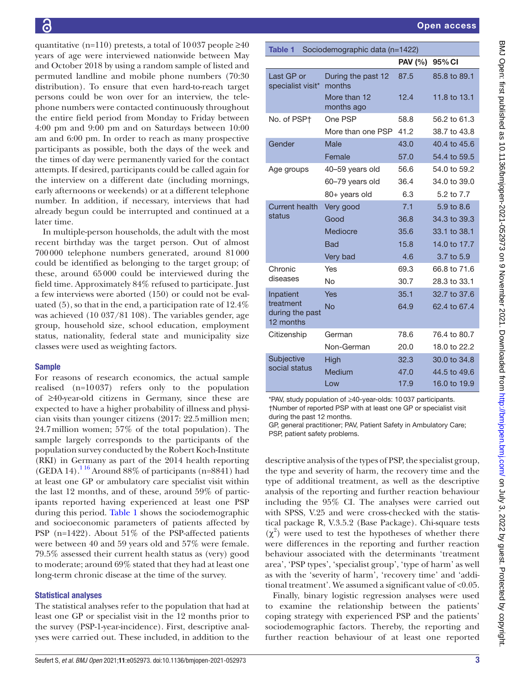quantitative (n=110) pretests, a total of 10037 people  $\geq 40$ years of age were interviewed nationwide between May and October 2018 by using a random sample of listed and permuted landline and mobile phone numbers (70:30 distribution). To ensure that even hard-to-reach target persons could be won over for an interview, the telephone numbers were contacted continuously throughout the entire field period from Monday to Friday between 4:00 pm and 9:00 pm and on Saturdays between 10:00 am and 6:00 pm. In order to reach as many prospective participants as possible, both the days of the week and the times of day were permanently varied for the contact attempts. If desired, participants could be called again for the interview on a different date (including mornings, early afternoons or weekends) or at a different telephone number. In addition, if necessary, interviews that had already begun could be interrupted and continued at a later time.

In multiple-person households, the adult with the most recent birthday was the target person. Out of almost 700000 telephone numbers generated, around 81000 could be identified as belonging to the target group; of these, around 65000 could be interviewed during the field time. Approximately 84% refused to participate. Just a few interviews were aborted (150) or could not be evaluated (5), so that in the end, a participation rate of 12.4% was achieved (10 037/81 108). The variables gender, age group, household size, school education, employment status, nationality, federal state and municipality size classes were used as weighting factors.

#### Sample

For reasons of research economics, the actual sample realised (n=10037) refers only to the population of ≥40-year-old citizens in Germany, since these are expected to have a higher probability of illness and physician visits than younger citizens (2017: 22.5million men; 24.7million women; 57% of the total population). The sample largely corresponds to the participants of the population survey conducted by the Robert Koch-Institute (RKI) in Germany as part of the 2014 health reporting (GEDA 14).<sup>116</sup> Around 88% of participants (n=8841) had at least one GP or ambulatory care specialist visit within the last 12 months, and of these, around 59% of participants reported having experienced at least one PSP during this period. [Table](#page-2-0) 1 shows the sociodemographic and socioeconomic parameters of patients affected by PSP (n=1422). About 51% of the PSP-affected patients were between 40 and 59 years old and 57% were female. 79.5% assessed their current health status as (very) good to moderate; around 69% stated that they had at least one long-term chronic disease at the time of the survey.

### Statistical analyses

The statistical analyses refer to the population that had at least one GP or specialist visit in the 12 months prior to the survey (PSP-1-year-incidence). First, descriptive analyses were carried out. These included, in addition to the

<span id="page-2-0"></span>

| <b>Table 1</b><br>Sociodemographic data (n=1422) |                              |                |              |  |  |  |  |  |
|--------------------------------------------------|------------------------------|----------------|--------------|--|--|--|--|--|
|                                                  |                              | <b>PAV</b> (%) | 95% CI       |  |  |  |  |  |
| Last GP or<br>specialist visit*                  | During the past 12<br>months | 87.5           | 85.8 to 89.1 |  |  |  |  |  |
|                                                  | More than 12<br>months ago   | 12.4           | 11.8 to 13.1 |  |  |  |  |  |
| No. of PSP+                                      | One PSP                      | 58.8           | 56.2 to 61.3 |  |  |  |  |  |
|                                                  | More than one PSP            | 41.2           | 38.7 to 43.8 |  |  |  |  |  |
| Gender                                           | Male                         | 43.0           | 40.4 to 45.6 |  |  |  |  |  |
|                                                  | Female                       | 57.0           | 54.4 to 59.5 |  |  |  |  |  |
| Age groups                                       | 40-59 years old              | 56.6           | 54.0 to 59.2 |  |  |  |  |  |
|                                                  | 60-79 years old              | 36.4           | 34.0 to 39.0 |  |  |  |  |  |
|                                                  | 80+ years old                | 6.3            | 5.2 to 7.7   |  |  |  |  |  |
| <b>Current health</b>                            | Very good                    | 7.1            | 5.9 to 8.6   |  |  |  |  |  |
| status                                           | Good                         | 36.8           | 34.3 to 39.3 |  |  |  |  |  |
|                                                  | Mediocre                     | 35.6           | 33.1 to 38.1 |  |  |  |  |  |
|                                                  | <b>Bad</b>                   | 15.8           | 14.0 to 17.7 |  |  |  |  |  |
|                                                  | Very bad                     | 4.6            | 3.7 to 5.9   |  |  |  |  |  |
| Chronic                                          | Yes                          | 69.3           | 66.8 to 71.6 |  |  |  |  |  |
| diseases                                         | No                           | 30.7           | 28.3 to 33.1 |  |  |  |  |  |
| Inpatient                                        | <b>Yes</b>                   | 35.1           | 32.7 to 37.6 |  |  |  |  |  |
| treatment<br>during the past<br>12 months        | No                           | 64.9           | 62.4 to 67.4 |  |  |  |  |  |
| Citizenship                                      | German                       | 78.6           | 76.4 to 80.7 |  |  |  |  |  |
|                                                  | Non-German                   | 20.0           | 18.0 to 22.2 |  |  |  |  |  |
| Subjective                                       | High                         | 32.3           | 30.0 to 34.8 |  |  |  |  |  |
| social status                                    | Medium                       | 47.0           | 44.5 to 49.6 |  |  |  |  |  |
|                                                  | Low                          | 17.9           | 16.0 to 19.9 |  |  |  |  |  |

\*PAV, study population of ≥40-year-olds: 10037 participants. †Number of reported PSP with at least one GP or specialist visit during the past 12 months. GP, general practitioner; PAV, Patient Safety in Ambulatory Care;

PSP, patient safety problems.

descriptive analysis of the types of PSP, the specialist group, the type and severity of harm, the recovery time and the type of additional treatment, as well as the descriptive analysis of the reporting and further reaction behaviour including the 95% CI. The analyses were carried out with SPSS, V.25 and were cross-checked with the statistical package R, V.3.5.2 (Base Package). Chi-square tests  $(\chi^2)$  were used to test the hypotheses of whether there were differences in the reporting and further reaction behaviour associated with the determinants 'treatment area', 'PSP types', 'specialist group', 'type of harm' as well as with the 'severity of harm', 'recovery time' and 'additional treatment'. We assumed a significant value of <0.05.

Finally, binary logistic regression analyses were used to examine the relationship between the patients' coping strategy with experienced PSP and the patients' sociodemographic factors. Thereby, the reporting and further reaction behaviour of at least one reported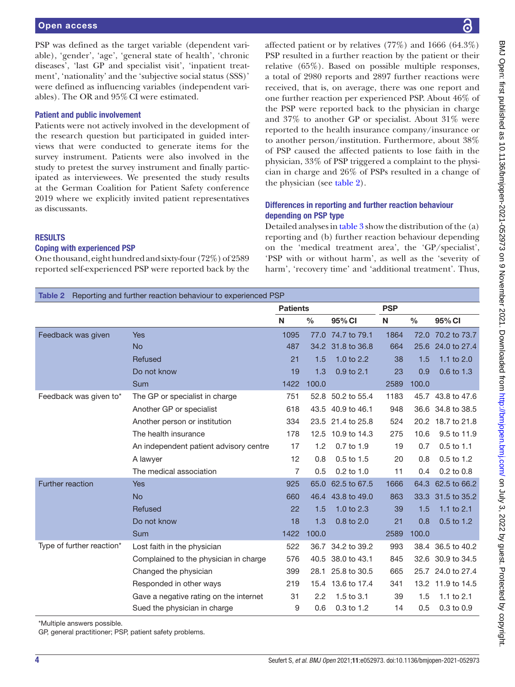#### Open access

PSP was defined as the target variable (dependent variable), 'gender', 'age', 'general state of health', 'chronic diseases', 'last GP and specialist visit', 'inpatient treatment', 'nationality' and the 'subjective social status (SSS)' were defined as influencing variables (independent variables). The OR and 95%CI were estimated.

#### Patient and public involvement

Patients were not actively involved in the development of the research question but participated in guided interviews that were conducted to generate items for the survey instrument. Patients were also involved in the study to pretest the survey instrument and finally participated as interviewees. We presented the study results at the German Coalition for Patient Safety conference 2019 where we explicitly invited patient representatives as discussants.

#### RESULTS

## Coping with experienced PSP

One thousand, eight hundred and sixty-four (72%) of 2589 reported self-experienced PSP were reported back by the affected patient or by relatives  $(77\%)$  and 1666  $(64.3\%)$ PSP resulted in a further reaction by the patient or their relative (65%). Based on possible multiple responses, a total of 2980 reports and 2897 further reactions were received, that is, on average, there was one report and one further reaction per experienced PSP. About 46% of the PSP were reported back to the physician in charge and 37% to another GP or specialist. About 31% were reported to the health insurance company/insurance or to another person/institution. Furthermore, about 38% of PSP caused the affected patients to lose faith in the physician, 33% of PSP triggered a complaint to the physician in charge and 26% of PSPs resulted in a change of the physician (see [table](#page-3-0) 2).

## Differences in reporting and further reaction behaviour depending on PSP type

Detailed analyses in [table](#page-4-0) 3 show the distribution of the (a) reporting and (b) further reaction behaviour depending on the 'medical treatment area', the 'GP/specialist', 'PSP with or without harm', as well as the 'severity of harm', 'recovery time' and 'additional treatment'. Thus,

<span id="page-3-0"></span>

|  |  |  |  | <b>Table 2</b> Reporting and further reaction behaviour to experienced PSP |
|--|--|--|--|----------------------------------------------------------------------------|
|--|--|--|--|----------------------------------------------------------------------------|

|                           |                                        | <b>Patients</b> |               | <b>PSP</b>        |      |               |                   |
|---------------------------|----------------------------------------|-----------------|---------------|-------------------|------|---------------|-------------------|
|                           |                                        | N               | $\frac{0}{0}$ | 95% CI            | N    | $\frac{0}{0}$ | 95% CI            |
| Feedback was given        | Yes                                    | 1095            | 77.0          | 74.7 to 79.1      | 1864 | 72.0          | 70.2 to 73.7      |
|                           | <b>No</b>                              | 487             | 34.2          | 31.8 to 36.8      | 664  | 25.6          | 24.0 to 27.4      |
|                           | <b>Refused</b>                         | 21              | 1.5           | 1.0 to $2.2$      | 38   | 1.5           | 1.1 to $2.0$      |
|                           | Do not know                            | 19              | 1.3           | $0.9$ to $2.1$    | 23   | 0.9           | $0.6$ to $1.3$    |
|                           | Sum                                    | 1422            | 100.0         |                   | 2589 | 100.0         |                   |
| Feedback was given to*    | The GP or specialist in charge         | 751             |               | 52.8 50.2 to 55.4 | 1183 |               | 45.7 43.8 to 47.6 |
|                           | Another GP or specialist               | 618             | 43.5          | 40.9 to 46.1      | 948  |               | 36.6 34.8 to 38.5 |
|                           | Another person or institution          | 334             |               | 23.5 21.4 to 25.8 | 524  |               | 20.2 18.7 to 21.8 |
|                           | The health insurance                   | 178             | 12.5          | 10.9 to 14.3      | 275  | 10.6          | 9.5 to 11.9       |
|                           | An independent patient advisory centre | 17              | 1.2           | 0.7 to 1.9        | 19   | 0.7           | 0.5 to 1.1        |
|                           | A lawyer                               | 12              | 0.8           | 0.5 to 1.5        | 20   | 0.8           | $0.5$ to 1.2      |
|                           | The medical association                | 7               | 0.5           | 0.2 to 1.0        | 11   | 0.4           | 0.2 to 0.8        |
| <b>Further reaction</b>   | Yes                                    | 925             | 65.0          | 62.5 to 67.5      | 1666 | 64.3          | 62.5 to 66.2      |
|                           | <b>No</b>                              | 660             | 46.4          | 43.8 to 49.0      | 863  | 33.3          | 31.5 to 35.2      |
|                           | Refused                                | 22              | 1.5           | 1.0 to $2.3$      | 39   | 1.5           | 1.1 to $2.1$      |
|                           | Do not know                            | 18              | 1.3           | $0.8$ to $2.0$    | 21   | 0.8           | $0.5$ to 1.2      |
|                           | Sum                                    | 1422            | 100.0         |                   | 2589 | 100.0         |                   |
| Type of further reaction* | Lost faith in the physician            | 522             |               | 36.7 34.2 to 39.2 | 993  |               | 38.4 36.5 to 40.2 |
|                           | Complained to the physician in charge  | 576             | 40.5          | 38.0 to 43.1      | 845  | 32.6          | 30.9 to 34.5      |
|                           | Changed the physician                  | 399             | 28.1          | 25.8 to 30.5      | 665  | 25.7          | 24.0 to 27.4      |
|                           | Responded in other ways                | 219             |               | 15.4 13.6 to 17.4 | 341  |               | 13.2 11.9 to 14.5 |
|                           | Gave a negative rating on the internet | 31              | 2.2           | 1.5 to 3.1        | 39   | 1.5           | 1.1 to $2.1$      |
|                           | Sued the physician in charge           | 9               | 0.6           | 0.3 to 1.2        | 14   | 0.5           | $0.3$ to $0.9$    |

\*Multiple answers possible.

GP, general practitioner; PSP, patient safety problems.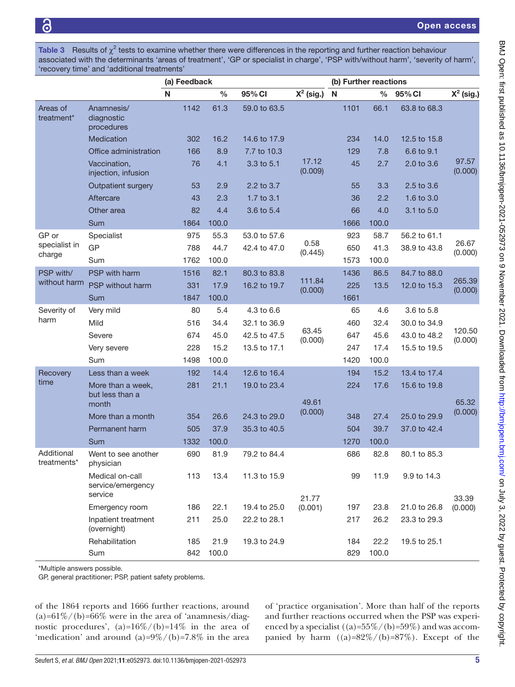<span id="page-4-0"></span>Table 3 Results of  $\chi^2$  tests to examine whether there were differences in the reporting and further reaction behaviour associated with the determinants 'areas of treatment', 'GP or specialist in charge', 'PSP with/without harm', 'severity of harm', 'recovery time' and 'additional treatments'

|                                    |                                                 | (a) Feedback |       |              |                  | (b) Further reactions |       |              |                  |
|------------------------------------|-------------------------------------------------|--------------|-------|--------------|------------------|-----------------------|-------|--------------|------------------|
|                                    |                                                 | N            | $\%$  | 95% CI       | $X^2$ (sig.)     | N                     | $\%$  | 95% CI       | $X^2$ (sig.)     |
| Areas of<br>treatment*             | Anamnesis/<br>diagnostic<br>procedures          | 1142         | 61.3  | 59.0 to 63.5 |                  | 1101                  | 66.1  | 63.8 to 68.3 |                  |
|                                    | Medication                                      | 302          | 16.2  | 14.6 to 17.9 |                  | 234                   | 14.0  | 12.5 to 15.8 |                  |
|                                    | Office administration                           | 166          | 8.9   | 7.7 to 10.3  |                  | 129                   | 7.8   | 6.6 to 9.1   |                  |
|                                    | Vaccination,<br>injection, infusion             | 76           | 4.1   | 3.3 to 5.1   | 17.12<br>(0.009) | 45                    | 2.7   | 2.0 to 3.6   | 97.57<br>(0.000) |
|                                    | Outpatient surgery                              | 53           | 2.9   | 2.2 to 3.7   |                  | 55                    | 3.3   | 2.5 to 3.6   |                  |
|                                    | Aftercare                                       | 43           | 2.3   | 1.7 to 3.1   |                  | 36                    | 2.2   | 1.6 to 3.0   |                  |
|                                    | Other area                                      | 82           | 4.4   | 3.6 to 5.4   |                  | 66                    | 4.0   | 3.1 to 5.0   |                  |
|                                    | Sum                                             | 1864         | 100.0 |              |                  | 1666                  | 100.0 |              |                  |
| GP or                              | Specialist                                      | 975          | 55.3  | 53.0 to 57.6 |                  | 923                   | 58.7  | 56.2 to 61.1 |                  |
| specialist in<br>charge            | GP                                              | 788          | 44.7  | 42.4 to 47.0 | 0.58<br>(0.445)  | 650                   | 41.3  | 38.9 to 43.8 | 26.67<br>(0.000) |
|                                    | Sum                                             | 1762         | 100.0 |              |                  | 1573                  | 100.0 |              |                  |
| PSP with/                          | PSP with harm                                   | 1516         | 82.1  | 80.3 to 83.8 | 111.84           | 1436                  | 86.5  | 84.7 to 88.0 | 265.39           |
| without harm                       | PSP without harm                                | 331          | 17.9  | 16.2 to 19.7 | (0.000)          | 225                   | 13.5  | 12.0 to 15.3 | (0.000)          |
|                                    | Sum                                             | 1847         | 100.0 |              |                  | 1661                  |       |              |                  |
| Severity of                        | Very mild                                       | 80           | 5.4   | 4.3 to 6.6   |                  | 65                    | 4.6   | 3.6 to 5.8   |                  |
| harm                               | Mild                                            | 516          | 34.4  | 32.1 to 36.9 | 63.45            | 460                   | 32.4  | 30.0 to 34.9 | 120.50           |
|                                    | Severe                                          | 674          | 45.0  | 42.5 to 47.5 | (0.000)          | 647                   | 45.6  | 43.0 to 48.2 | (0.000)          |
|                                    | Very severe                                     | 228          | 15.2  | 13.5 to 17.1 |                  | 247                   | 17.4  | 15.5 to 19.5 |                  |
|                                    | Sum                                             | 1498         | 100.0 |              |                  | 1420                  | 100.0 |              |                  |
| Recovery<br>time                   | Less than a week                                | 192          | 14.4  | 12.6 to 16.4 |                  | 194                   | 15.2  | 13.4 to 17.4 |                  |
|                                    | More than a week,<br>but less than a<br>month   | 281          | 21.1  | 19.0 to 23.4 | 49.61            | 224                   | 17.6  | 15.6 to 19.8 | 65.32            |
|                                    | More than a month                               | 354          | 26.6  | 24.3 to 29.0 | (0.000)          | 348                   | 27.4  | 25.0 to 29.9 | (0.000)          |
|                                    | Permanent harm                                  | 505          | 37.9  | 35.3 to 40.5 |                  | 504                   | 39.7  | 37.0 to 42.4 |                  |
|                                    | Sum                                             | 1332         | 100.0 |              |                  | 1270                  | 100.0 |              |                  |
| Additional<br>$treatments^{\star}$ | Went to see another<br>physician                | 690          | 81.9  | 79.2 to 84.4 |                  | 686                   | 82.8  | 80.1 to 85.3 |                  |
|                                    | Medical on-call<br>service/emergency<br>service | 113          | 13.4  | 11.3 to 15.9 | 21.77            | 99                    | 11.9  | 9.9 to 14.3  | 33.39            |
|                                    | Emergency room                                  | 186          | 22.1  | 19.4 to 25.0 | (0.001)          | 197                   | 23.8  | 21.0 to 26.8 | (0.000)          |
|                                    | Inpatient treatment<br>(overnight)              | 211          | 25.0  | 22.2 to 28.1 |                  | 217                   | 26.2  | 23.3 to 29.3 |                  |
|                                    | Rehabilitation                                  | 185          | 21.9  | 19.3 to 24.9 |                  | 184                   | 22.2  | 19.5 to 25.1 |                  |
|                                    | Sum                                             | 842          | 100.0 |              |                  | 829                   | 100.0 |              |                  |

\*Multiple answers possible.

GP, general practitioner; PSP, patient safety problems.

of the 1864 reports and 1666 further reactions, around  $(a)=61\%/b)$ =66% were in the area of 'anamnesis/diagnostic procedures',  $(a)=16\%/b) = 14\%$  in the area of 'medication' and around  $(a)=9\%/b) = 7.8\%$  in the area

of 'practice organisation'. More than half of the reports and further reactions occurred when the PSP was experienced by a specialist  $((a)=55\%/b)$ =59%) and was accompanied by harm  $((a)=82\%/b)=87\%)$ . Except of the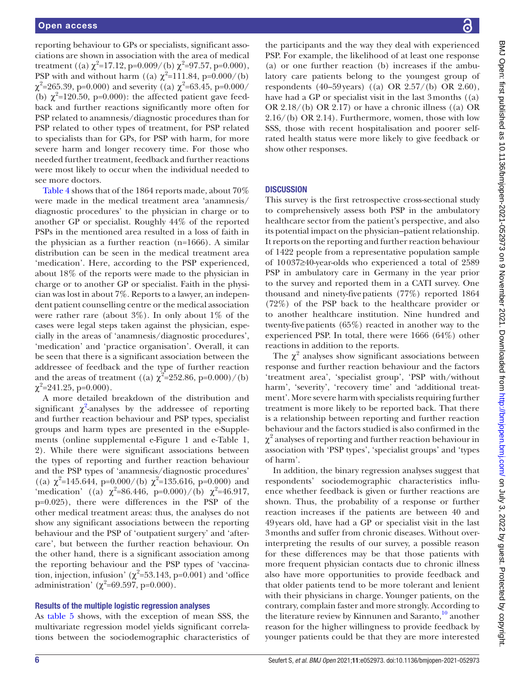reporting behaviour to GPs or specialists, significant associations are shown in association with the area of medical treatment ((a)  $\chi^2$ =17.12, p=0.009/(b)  $\chi^2$ =97.57, p=0.000), PSP with and without harm ((a)  $\chi^2$ =111.84, p=0.000/(b)  $\chi^2$ =265.39, p=0.000) and severity ((a)  $\chi^2$ =63.45, p=0.000/ (b)  $\chi^2$ =120.50, p=0.000): the affected patient gave feedback and further reactions significantly more often for PSP related to anamnesis/diagnostic procedures than for PSP related to other types of treatment, for PSP related to specialists than for GPs, for PSP with harm, for more severe harm and longer recovery time. For those who needed further treatment, feedback and further reactions were most likely to occur when the individual needed to see more doctors.

[Table](#page-6-0) 4 shows that of the 1864 reports made, about 70% were made in the medical treatment area 'anamnesis/ diagnostic procedures' to the physician in charge or to another GP or specialist. Roughly 44% of the reported PSPs in the mentioned area resulted in a loss of faith in the physician as a further reaction (n=1666). A similar distribution can be seen in the medical treatment area 'medication'. Here, according to the PSP experienced, about 18% of the reports were made to the physician in charge or to another GP or specialist. Faith in the physician was lost in about 7%. Reports to a lawyer, an independent patient counselling centre or the medical association were rather rare (about  $3\%$ ). In only about  $1\%$  of the cases were legal steps taken against the physician, especially in the areas of 'anamnesis/diagnostic procedures', 'medication' and 'practice organisation'. Overall, it can be seen that there is a significant association between the addressee of feedback and the type of further reaction and the areas of treatment ((a)  $\chi^2 = 252.86$ , p=0.000)/(b)  $\chi^2$ =241.25, p=0.000).

A more detailed breakdown of the distribution and significant  $\chi^2$  $\chi^2$ -analyses by the addressee of reporting and further reaction behaviour and PSP types, specialist groups and harm types are presented in the e-Supplements [\(online supplemental e-Figure 1 and e-Table 1,](https://dx.doi.org/10.1136/bmjopen-2021-052973) [2\)](https://dx.doi.org/10.1136/bmjopen-2021-052973). While there were significant associations between the types of reporting and further reaction behaviour and the PSP types of 'anamnesis/diagnostic procedures' ((a)  $\chi^2$ =145.644, p=0.000/(b)  $\chi^2$ =135.616, p=0.000) and 'medication' ((a)  $\chi^2$ =86.446, p=0.000)/(b)  $\chi^2$ =46.917, p=0.025), there were differences in the PSP of the other medical treatment areas: thus, the analyses do not show any significant associations between the reporting behaviour and the PSP of 'outpatient surgery' and 'aftercare', but between the further reaction behaviour. On the other hand, there is a significant association among the reporting behaviour and the PSP types of 'vaccination, injection, infusion' ( $\chi^2$ =53.143, p=0.001) and 'office administration' ( $\chi^2$ =69.597, p=0.000).

#### Results of the multiple logistic regression analyses

As [table](#page-7-0) 5 shows, with the exception of mean SSS, the multivariate regression model yields significant correlations between the sociodemographic characteristics of

the participants and the way they deal with experienced PSP. For example, the likelihood of at least one response (a) or one further reaction (b) increases if the ambulatory care patients belong to the youngest group of respondents (40–59years) ((a) OR 2.57/(b) OR 2.60), have had a GP or specialist visit in the last 3months ((a) OR 2.18/(b) OR 2.17) or have a chronic illness ((a) OR 2.16/(b) OR 2.14). Furthermore, women, those with low SSS, those with recent hospitalisation and poorer selfrated health status were more likely to give feedback or show other responses.

## **DISCUSSION**

This survey is the first retrospective cross-sectional study to comprehensively assess both PSP in the ambulatory healthcare sector from the patient's perspective, and also its potential impact on the physician–patient relationship. It reports on the reporting and further reaction behaviour of 1422 people from a representative population sample of 10037≥40-year-olds who experienced a total of 2589 PSP in ambulatory care in Germany in the year prior to the survey and reported them in a CATI survey. One thousand and ninety-fivepatients (77%) reported 1864 (72%) of the PSP back to the healthcare provider or to another healthcare institution. Nine hundred and twenty-five patients  $(65\%)$  reacted in another way to the experienced PSP. In total, there were 1666 (64%) other reactions in addition to the reports.

The  $\chi^2$  analyses show significant associations between response and further reaction behaviour and the factors 'treatment area', 'specialist group', 'PSP with/without harm', 'severity', 'recovery time' and 'additional treatment'. More severe harm with specialists requiring further treatment is more likely to be reported back. That there is a relationship between reporting and further reaction behaviour and the factors studied is also confirmed in the  $\chi^2$  analyses of reporting and further reaction behaviour in association with 'PSP types', 'specialist groups' and 'types of harm'.

In addition, the binary regression analyses suggest that respondents' sociodemographic characteristics influence whether feedback is given or further reactions are shown. Thus, the probability of a response or further reaction increases if the patients are between 40 and 49years old, have had a GP or specialist visit in the last 3months and suffer from chronic diseases. Without overinterpreting the results of our survey, a possible reason for these differences may be that those patients with more frequent physician contacts due to chronic illness also have more opportunities to provide feedback and that older patients tend to be more tolerant and lenient with their physicians in charge. Younger patients, on the contrary, complain faster and more strongly. According to the literature review by Kinnunen and Saranto, $10^{\circ}$  another reason for the higher willingness to provide feedback by younger patients could be that they are more interested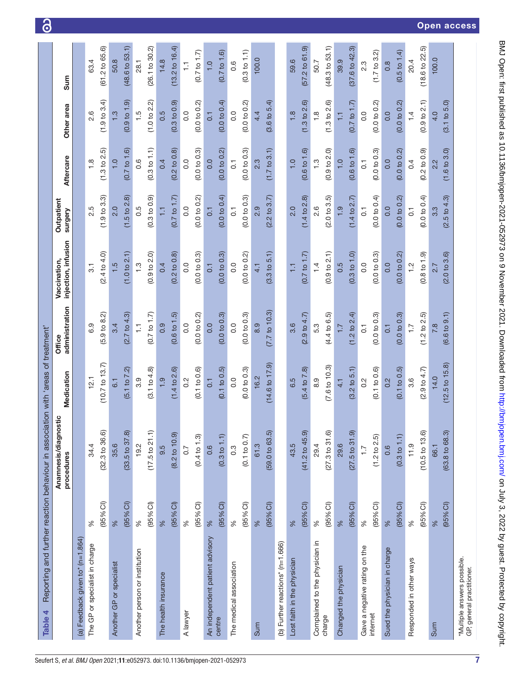<span id="page-6-0"></span>

| Table 4                                                  |                     | Reporting and further reaction behaviour in association with 'areas of treatment' |                            |                          |                                     |                           |                         |                  |                           |
|----------------------------------------------------------|---------------------|-----------------------------------------------------------------------------------|----------------------------|--------------------------|-------------------------------------|---------------------------|-------------------------|------------------|---------------------------|
|                                                          |                     | stic<br>Anamnesis/diagno<br>procedures                                            | Medication                 | administration<br>Office | injection, infusion<br>Vaccination, | Outpatient<br>surgery     | Aftercare               | Other area       | Sum                       |
| (a) Feedback given to* (n=1.864)                         |                     |                                                                                   |                            |                          |                                     |                           |                         |                  |                           |
| The GP or specialist in charge                           | $\%$                | 34.4                                                                              | 12.1                       | 6.9                      | 3.1                                 | 2.5                       | $\frac{8}{1}$           | 2.6              | 63.4                      |
|                                                          | $(95%$ CI)          | (32.3 to 36.6)                                                                    | $(10.7 \text{ to } 13.7)$  | $(5.9 \text{ to } 8.2)$  | (2.4 to 4.0)                        | (1.9 to 3.3)              | $(1.3 \text{ to } 2.5)$ | (1.9 to 3.4)     | (61.2 to 65.6)            |
| Another GP or specialist                                 | %                   | 35.6                                                                              | $\overline{6}$ .           | 3.4                      | 1.5                                 | 2.0                       | $\frac{0}{1}$           | $\frac{3}{1}$    | 50.8                      |
|                                                          | (95% <sup>C</sup> ) | (33.5 to 37.8)                                                                    | (5.1 to 7.2)               | (2.7 to 4.3)             | .0 to 2.1<br>こ                      | $.5 \text{ to } 2.8$<br>こ | (0.7 to 1.6)            | (0.9 to 1.9)     | (48.6 to 53.1)            |
| Another person or institution                            | $\%$                | 19.2                                                                              | 3.9                        | H                        | $\ddot{.}$                          | 0.5                       | 0.6                     | 1.5              | 28.1                      |
|                                                          | (95% <sup>C</sup> ) | (17.5 to 21.1)                                                                    | (3.1 to 4.8)               | (0.7 to 1.7)             | (0.9 to 2.0)                        | (0.3 to 0.9)              | (0.3 to 1.1)            | (1.0 to 2.2)     | (26.1 to 30.2)            |
| The health insurance                                     | %                   | 9.5                                                                               | 1.9                        | 0.9                      | 0.4                                 | H                         | 0.4                     | 0.5              | 14.8                      |
|                                                          | (95% <sup>C</sup> ) | $(8.2 \text{ to } 10.9)$                                                          | $.4$ to $2.6$<br>こ         | (0.6 to 1.5)             | .2 to 0.8<br>ë                      | (0.7 to 1.7)              | (0.2 to 0.8)            | (0.3 to 0.9)     | $(13.2 \text{ to } 16.4)$ |
| A lawyer                                                 | $\%$                | 0.7                                                                               | $0.\overline{2}$           | 0.0                      | 0.0                                 | 0.0                       | 0.0                     | $\overline{0}$   | $\frac{1}{1}$             |
|                                                          | (95% <sup>C</sup> ) | (0.4 to 1.3)                                                                      | (0.1 to 0.6)               | (0.0 to 0.2)             | (0.0 to 0.3)                        | (0.0 to 0.2)              | (0.0 to 0.3)            | (0.0 to 0.2)     | (0.7 to 1.7)              |
| An independent patient advisory                          | %                   | 0.6                                                                               | $\overline{0}$ .           | 0.0                      | 0.1                                 | $\overline{0}$ :          | 0.0                     | $\overline{0}$ : | $\frac{0}{1}$             |
| centre                                                   | (95% <sup>C</sup> ) | (0.3 to 1.1)                                                                      | (0.1 to 0.5)               | (0.0 t 0.3)              | (0.0 to 0.3)                        | (0.0 to 0.4)              | (0.0 to 0.2)            | (0.0 to 0.4)     | $(0.7 \text{ to } 1.6)$   |
| The medical association                                  | %                   | $0.\overline{3}$                                                                  | 0.0                        | $\frac{0}{0}$            | 0.0                                 | $\overline{0}$            | $\overline{C}$          | 0.0              | 0.6                       |
|                                                          | (95% <sup>C</sup> ) | (0.1 to 0.7)                                                                      | (0.0 to 0.3)               | (0.0 to 0.3)             | (0.0 to 0.2)                        | (0.0 to 0.3)              | (0.0 to 0.3)            | (0.0 to 0.2)     | (0.3 to 1.1)              |
| Sum                                                      | %                   | 61.3                                                                              | 16.2                       | 8.9                      | 4.1                                 | 2.9                       | 2.3                     | 4.4              | 100.0                     |
|                                                          | (95% <sup>C</sup> ) | (59.0 to 63.5)                                                                    | $(14.6 \text{ to } 17.9)$  | (7.7 to 10.3)            | (3.3 to 5.1)                        | $(2.2 \text{ to } 3.7)$   | (1.7 to 3.1)            | (3.6 to 5.4)     |                           |
| (b) Further reactions* (n=1.666)                         |                     |                                                                                   |                            |                          |                                     |                           |                         |                  |                           |
| Lost faith in the physician                              | %                   | 43.5                                                                              | 6.5                        | $3.\overline{6}$         | H                                   | $\frac{0}{2}$             | $\frac{0}{1}$           | $\frac{8}{1}$    | 59.6                      |
|                                                          | (95% <sup>o</sup> ) | $(41.2 \text{ to } 45.9)$                                                         | (5.4 to 7.8)               | (2.9 to 4.7)             | (0.7 to 1.7)                        | (1.4 to 2.8)              | (0.6 to 1.6)            | (1.3 to 2.6)     | $(57.2 \text{ to } 61.9)$ |
| Complained to the physician in                           | $\%$                | 29.4                                                                              | 8.9                        | 5.3                      | $\overline{4}$                      | 2.6                       | $\frac{3}{1}$           | $\frac{8}{1}$    | 50.7                      |
| charge                                                   | $(95%$ Cl)          | (27.3 to 31.6)                                                                    | $.6 \text{ to } 10.3$<br>ヒ | (4.4 to 6.5)             | (0.9 to 2.1)                        | (2.0 to 3.5)              | (0.9 to 2.0)            | (1.3 to 2.6)     | (48.3 to 53.1)            |
| Changed the physician                                    | %                   | 29.6                                                                              | $\frac{1}{4}$              | 7.7                      | 0.5                                 | $\frac{1}{2}$             | $\frac{0}{1}$           | F                | 39.9                      |
|                                                          | $(95%$ CI)          | (27.5 to 31.9)                                                                    | (3.2 to 5.1)               | (1.2 to 2.4)             | (0.3 to 1.0)                        | (1.4 to 2.7)              | (0.6 to 1.6)            | (0.7 to 1.7)     | (37.6 to 42.3)            |
| Gave a negative rating on the                            | $\%$                | $\overline{1}$ .                                                                  | 0.2                        | $\overline{0}$ :         | 0.0                                 | $\overline{0}$            | $\overline{0}$          | 0.0              | 2.3                       |
| internet                                                 | $(95%$ CI)          | $(1.2 \text{ to } 2.5)$                                                           | (0.1 to 0.6)               | (0.0 to 0.3)             | (0.0 to 0.3)                        | (0.0 to 0.4)              | (0.0 to 0.3)            | (0.0 to 0.2)     | $(1.7 \text{ to } 3.2)$   |
| Sued the physician in charge                             | %                   | 0.6                                                                               | 0.2                        | $\overline{0}$ .         | 0.0                                 | 0.0                       | 0.0                     | 0.0              | $\frac{8}{2}$             |
|                                                          | (95% <sup>C</sup> ) | (0.3 to 1.1)                                                                      | (0.1 to 0.5)               | (0.0 to 0.3)             | (0.0 to 0.2)                        | (0.0 t 0.2)               | (0.0 to 0.2)            | (0.0 to 0.2)     | (0.5 to 1.4)              |
| Responded in other ways                                  | $\%$                | 11.9                                                                              | 3.6                        | $\overline{1}$ .         | $\frac{2}{1}$                       | $\overline{c}$            | 0.4                     | $\frac{1}{4}$    | 20.4                      |
|                                                          | (95% Cl)            | (10.5 to 13.6)                                                                    | (2.9 to 4.7)               | (1.2 to 2.5)             | $(0.8 \text{ to } 1.9)$             | (0.0 to 0.4)              | (0.2 to 0.9)            | (0.9 to 2.1)     | (18.6 to 22.5)            |
| Sum                                                      | %                   | 66.1                                                                              | 14.0                       | 7.8                      | 2.7                                 | 3.3                       | 2.2                     | 4.0              | 100.0                     |
|                                                          | (95% Cl)            | $(63.8 \text{ to } 68.3)$                                                         | $(12.5 \text{ to } 15.8)$  | (6.6 t 0.9.1)            | (2.0 to 3.6)                        | $(2.5 \text{ to } 4.3)$   | (1.6 to 3.0)            | (3.1 to 5.0)     |                           |
| *Multiple answers possible.<br>GP, general practitioner. |                     |                                                                                   |                            |                          |                                     |                           |                         |                  |                           |

ි

Open access

BMJ Open: first published as 10.1136/bmjopen-2021-052973 on 9 November 2021. Downloaded from http://bmjopen.bmj.com/ on July 3, 2022 by guest. Protected by copyright. BMJ Open: first published as 10.1136/bmjopen-2021-052973 on 9 November 2021. Downloaded from brup://bmjopen.bmj.com/ on July 3, 2022 by guest. Protected by copyright.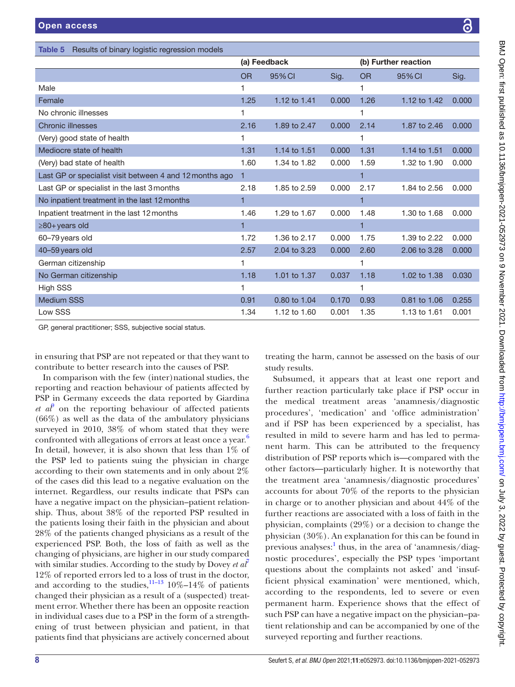<span id="page-7-0"></span>

|           | (a) Feedback                                            |       |           |              |                      |
|-----------|---------------------------------------------------------|-------|-----------|--------------|----------------------|
| <b>OR</b> | 95% CI                                                  | Sig.  | <b>OR</b> | 95% CI       | Sig.                 |
|           |                                                         |       | 1         |              |                      |
| 1.25      | 1.12 to 1.41                                            | 0.000 | 1.26      | 1.12 to 1.42 | 0.000                |
|           |                                                         |       | 1         |              |                      |
| 2.16      | 1.89 to 2.47                                            | 0.000 | 2.14      | 1.87 to 2.46 | 0.000                |
| 1         |                                                         |       | 1         |              |                      |
| 1.31      | 1.14 to 1.51                                            | 0.000 | 1.31      | 1.14 to 1.51 | 0.000                |
| 1.60      | 1.34 to 1.82                                            | 0.000 | 1.59      | 1.32 to 1.90 | 0.000                |
| 1         |                                                         |       | 1         |              |                      |
| 2.18      | 1.85 to 2.59                                            | 0.000 | 2.17      | 1.84 to 2.56 | 0.000                |
| 1         |                                                         |       | 1         |              |                      |
| 1.46      | 1.29 to 1.67                                            | 0.000 | 1.48      | 1.30 to 1.68 | 0.000                |
| 1         |                                                         |       | 1         |              |                      |
| 1.72      | 1.36 to 2.17                                            | 0.000 | 1.75      | 1.39 to 2.22 | 0.000                |
| 2.57      | 2.04 to 3.23                                            | 0.000 | 2.60      | 2.06 to 3.28 | 0.000                |
| 1         |                                                         |       | 1         |              |                      |
| 1.18      | 1.01 to 1.37                                            | 0.037 | 1.18      | 1.02 to 1.38 | 0.030                |
|           |                                                         |       | 1         |              |                      |
| 0.91      | 0.80 to 1.04                                            | 0.170 | 0.93      | 0.81 to 1.06 | 0.255                |
| 1.34      | 1.12 to 1.60                                            | 0.001 | 1.35      | 1.13 to 1.61 | 0.001                |
|           | Last GP or specialist visit between 4 and 12 months ago |       |           |              | (b) Further reaction |

GP, general practitioner; SSS, subjective social status.

in ensuring that PSP are not repeated or that they want to contribute to better research into the causes of PSP.

In comparison with the few (inter)national studies, the reporting and reaction behaviour of patients affected by PSP in Germany exceeds the data reported by Giardina  $et$   $a\ell$ <sup>3</sup> on the reporting behaviour of affected patients (66%) as well as the data of the ambulatory physicians surveyed in 2010, 38% of whom stated that they were confronted with allegations of errors at least once a year.<sup>[6](#page-9-5)</sup> In detail, however, it is also shown that less than  $1\%$  of the PSP led to patients suing the physician in charge according to their own statements and in only about 2% of the cases did this lead to a negative evaluation on the internet. Regardless, our results indicate that PSPs can have a negative impact on the physician–patient relationship. Thus, about 38% of the reported PSP resulted in the patients losing their faith in the physician and about 28% of the patients changed physicians as a result of the experienced PSP. Both, the loss of faith as well as the changing of physicians, are higher in our study compared with similar studies. According to the study by Dovey *et al*<sup>[7](#page-9-6)</sup> 12% of reported errors led to a loss of trust in the doctor, and according to the studies,  $11-13$  10%–14% of patients changed their physician as a result of a (suspected) treatment error. Whether there has been an opposite reaction in individual cases due to a PSP in the form of a strengthening of trust between physician and patient, in that patients find that physicians are actively concerned about

treating the harm, cannot be assessed on the basis of our study results.

Subsumed, it appears that at least one report and further reaction particularly take place if PSP occur in the medical treatment areas 'anamnesis/diagnostic procedures', 'medication' and 'office administration' and if PSP has been experienced by a specialist, has resulted in mild to severe harm and has led to permanent harm. This can be attributed to the frequency distribution of PSP reports which is—compared with the other factors—particularly higher. It is noteworthy that the treatment area 'anamnesis/diagnostic procedures' accounts for about 70% of the reports to the physician in charge or to another physician and about 44% of the further reactions are associated with a loss of faith in the physician, complaints (29%) or a decision to change the physician (30%). An explanation for this can be found in previous analyses:<sup>[1](#page-9-0)</sup> thus, in the area of 'anamnesis/diagnostic procedures', especially the PSP types 'important questions about the complaints not asked' and 'insufficient physical examination' were mentioned, which, according to the respondents, led to severe or even permanent harm. Experience shows that the effect of such PSP can have a negative impact on the physician–patient relationship and can be accompanied by one of the surveyed reporting and further reactions.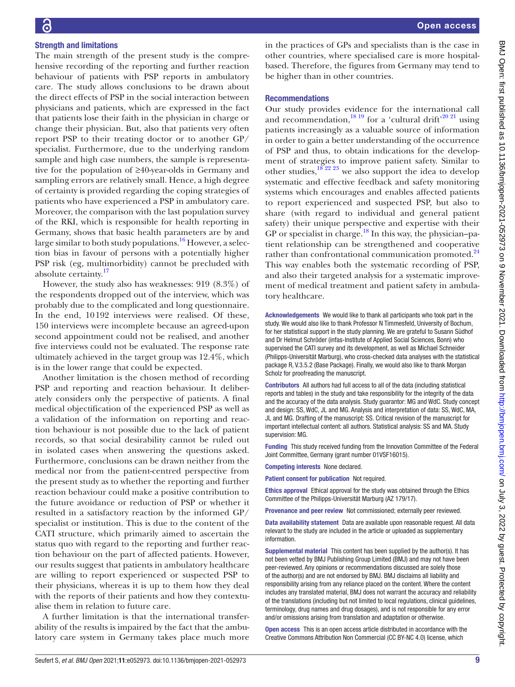### Strength and limitations

The main strength of the present study is the comprehensive recording of the reporting and further reaction behaviour of patients with PSP reports in ambulatory care. The study allows conclusions to be drawn about the direct effects of PSP in the social interaction between physicians and patients, which are expressed in the fact that patients lose their faith in the physician in charge or change their physician. But, also that patients very often report PSP to their treating doctor or to another GP/ specialist. Furthermore, due to the underlying random sample and high case numbers, the sample is representative for the population of ≥40-year-olds in Germany and sampling errors are relatively small. Hence, a high degree of certainty is provided regarding the coping strategies of patients who have experienced a PSP in ambulatory care. Moreover, the comparison with the last population survey of the RKI, which is responsible for health reporting in Germany, shows that basic health parameters are by and large similar to both study populations.<sup>16</sup> However, a selection bias in favour of persons with a potentially higher PSP risk (eg, multimorbidity) cannot be precluded with absolute certainty.[17](#page-9-15)

However, the study also has weaknesses: 919 (8.3%) of the respondents dropped out of the interview, which was probably due to the complicated and long questionnaire. In the end, 10192 interviews were realised. Of these, 150 interviews were incomplete because an agreed-upon second appointment could not be realised, and another five interviews could not be evaluated. The response rate ultimately achieved in the target group was 12.4%, which is in the lower range that could be expected.

Another limitation is the chosen method of recording PSP and reporting and reaction behaviour. It deliberately considers only the perspective of patients. A final medical objectification of the experienced PSP as well as a validation of the information on reporting and reaction behaviour is not possible due to the lack of patient records, so that social desirability cannot be ruled out in isolated cases when answering the questions asked. Furthermore, conclusions can be drawn neither from the medical nor from the patient-centred perspective from the present study as to whether the reporting and further reaction behaviour could make a positive contribution to the future avoidance or reduction of PSP or whether it resulted in a satisfactory reaction by the informed GP/ specialist or institution. This is due to the content of the CATI structure, which primarily aimed to ascertain the status quo with regard to the reporting and further reaction behaviour on the part of affected patients. However, our results suggest that patients in ambulatory healthcare are willing to report experienced or suspected PSP to their physicians, whereas it is up to them how they deal with the reports of their patients and how they contextualise them in relation to future care.

A further limitation is that the international transferability of the results is impaired by the fact that the ambulatory care system in Germany takes place much more

in the practices of GPs and specialists than is the case in other countries, where specialised care is more hospitalbased. Therefore, the figures from Germany may tend to be higher than in other countries.

#### Recommendations

Our study provides evidence for the international call and recommendation,  $^{18}$  19 for a 'cultural drift'<sup>20 21</sup> using patients increasingly as a valuable source of information in order to gain a better understanding of the occurrence of PSP and thus, to obtain indications for the development of strategies to improve patient safety. Similar to other studies,<sup>18 22</sup> <sup>23</sup> we also support the idea to develop systematic and effective feedback and safety monitoring systems which encourages and enables affected patients to report experienced and suspected PSP, but also to share (with regard to individual and general patient safety) their unique perspective and expertise with their GP or specialist in charge.<sup>18</sup> In this way, the physician–patient relationship can be strengthened and cooperative rather than confrontational communication promoted.<sup>[24](#page-9-18)</sup> This way enables both the systematic recording of PSP, and also their targeted analysis for a systematic improvement of medical treatment and patient safety in ambulatory healthcare.

Acknowledgements We would like to thank all participants who took part in the study. We would also like to thank Professor N Timmesfeld, University of Bochum, for her statistical support in the study planning. We are grateful to Susann Südhof and Dr Helmut Schröder (infas-Institute of Applied Social Sciences, Bonn) who supervised the CATI survey and its development, as well as Michael Schneider (Philipps-Universität Marburg), who cross-checked data analyses with the statistical package R, V.3.5.2 (Base Package). Finally, we would also like to thank Morgan Scholz for proofreading the manuscript.

Contributors All authors had full access to all of the data (including statistical reports and tables) in the study and take responsibility for the integrity of the data and the accuracy of the data analysis. Study guarantor: MG and WdC. Study concept and design: SS, WdC, JL and MG. Analysis and interpretation of data: SS, WdC, MA, JL and MG. Drafting of the manuscript: SS. Critical revision of the manuscript for important intellectual content: all authors. Statistical analysis: SS and MA. Study supervision: MG.

Funding This study received funding from the Innovation Committee of the Federal Joint Committee, Germany (grant number 01VSF16015).

Competing interests None declared.

Patient consent for publication Not required.

Ethics approval Ethical approval for the study was obtained through the Ethics Committee of the Philipps-Universität Marburg (AZ 179/17).

Provenance and peer review Not commissioned; externally peer reviewed.

Data availability statement Data are available upon reasonable request. All data relevant to the study are included in the article or uploaded as supplementary **information** 

Supplemental material This content has been supplied by the author(s). It has not been vetted by BMJ Publishing Group Limited (BMJ) and may not have been peer-reviewed. Any opinions or recommendations discussed are solely those of the author(s) and are not endorsed by BMJ. BMJ disclaims all liability and responsibility arising from any reliance placed on the content. Where the content includes any translated material, BMJ does not warrant the accuracy and reliability of the translations (including but not limited to local regulations, clinical guidelines, terminology, drug names and drug dosages), and is not responsible for any error and/or omissions arising from translation and adaptation or otherwise.

Open access This is an open access article distributed in accordance with the Creative Commons Attribution Non Commercial (CC BY-NC 4.0) license, which